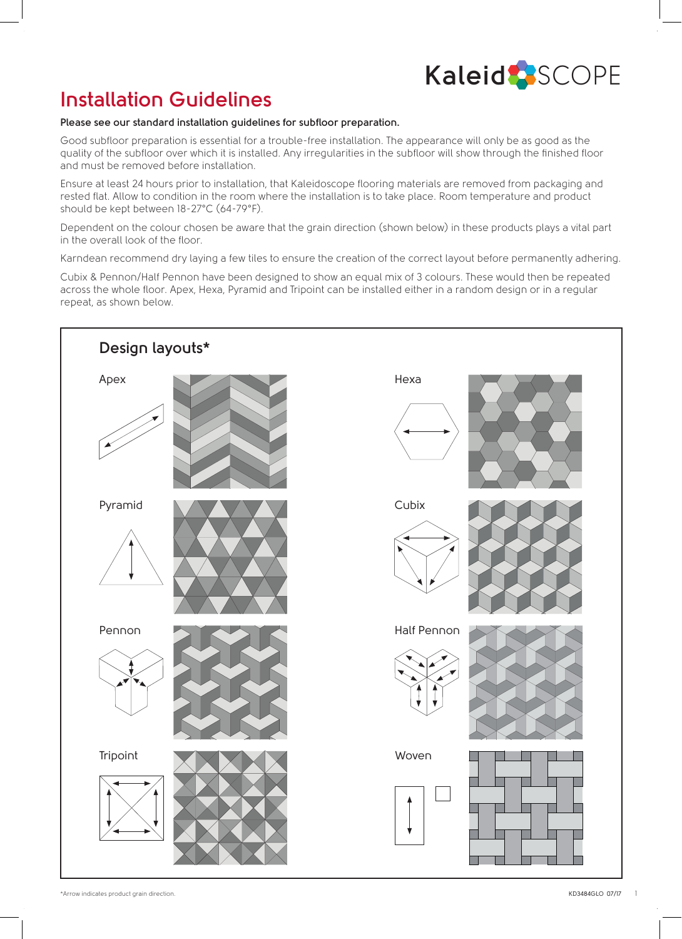# **Kaleid** SCOPE

# **Installation Guidelines**

#### **Please see our standard installation guidelines for subfloor preparation.**

Good subfloor preparation is essential for a trouble-free installation. The appearance will only be as good as the quality of the subfloor over which it is installed. Any irregularities in the subfloor will show through the finished floor and must be removed before installation.

Ensure at least 24 hours prior to installation, that Kaleidoscope flooring materials are removed from packaging and rested flat. Allow to condition in the room where the installation is to take place. Room temperature and product should be kept between 18-27°C (64-79°F).

Dependent on the colour chosen be aware that the grain direction (shown below) in these products plays a vital part in the overall look of the floor.

Karndean recommend dry laying a few tiles to ensure the creation of the correct layout before permanently adhering.

Cubix & Pennon/Half Pennon have been designed to show an equal mix of 3 colours. These would then be repeated across the whole floor. Apex, Hexa, Pyramid and Tripoint can be installed either in a random design or in a regular repeat, as shown below.

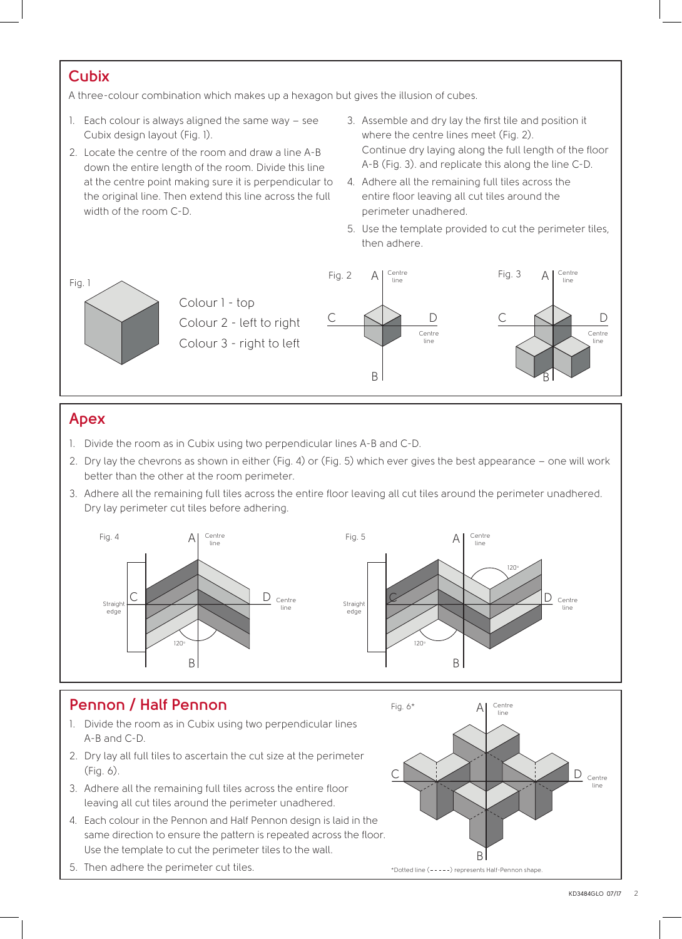### **Cubix**

A three-colour combination which makes up a hexagon but gives the illusion of cubes.

- 1. Each colour is always aligned the same way see Cubix design layout (Fig. 1).
- 2. Locate the centre of the room and draw a line A-B down the entire length of the room. Divide this line at the centre point making sure it is perpendicular to the original line. Then extend this line across the full width of the room C-D.
- 3. Assemble and dry lay the first tile and position it where the centre lines meet (Fig. 2). Continue dry laying along the full length of the floor A-B (Fig. 3). and replicate this along the line C-D.
- 4. Adhere all the remaining full tiles across the entire floor leaving all cut tiles around the perimeter unadhered.
- 5. Use the template provided to cut the perimeter tiles, then adhere.



# **Apex**

- 1. Divide the room as in Cubix using two perpendicular lines A-B and C-D.
- 2. Dry lay the chevrons as shown in either (Fig. 4) or (Fig. 5) which ever gives the best appearance one will work better than the other at the room perimeter.
- 3. Adhere all the remaining full tiles across the entire floor leaving all cut tiles around the perimeter unadhered. Dry lay perimeter cut tiles before adhering.



# **Pennon / Half Pennon**

- 1. Divide the room as in Cubix using two perpendicular lines A-B and C-D.
- 2. Dry lay all full tiles to ascertain the cut size at the perimeter (Fig. 6).
- 3. Adhere all the remaining full tiles across the entire floor leaving all cut tiles around the perimeter unadhered.
- 4. Each colour in the Pennon and Half Pennon design is laid in the same direction to ensure the pattern is repeated across the floor. Use the template to cut the perimeter tiles to the wall.
- 5. Then adhere the perimeter cut tiles.

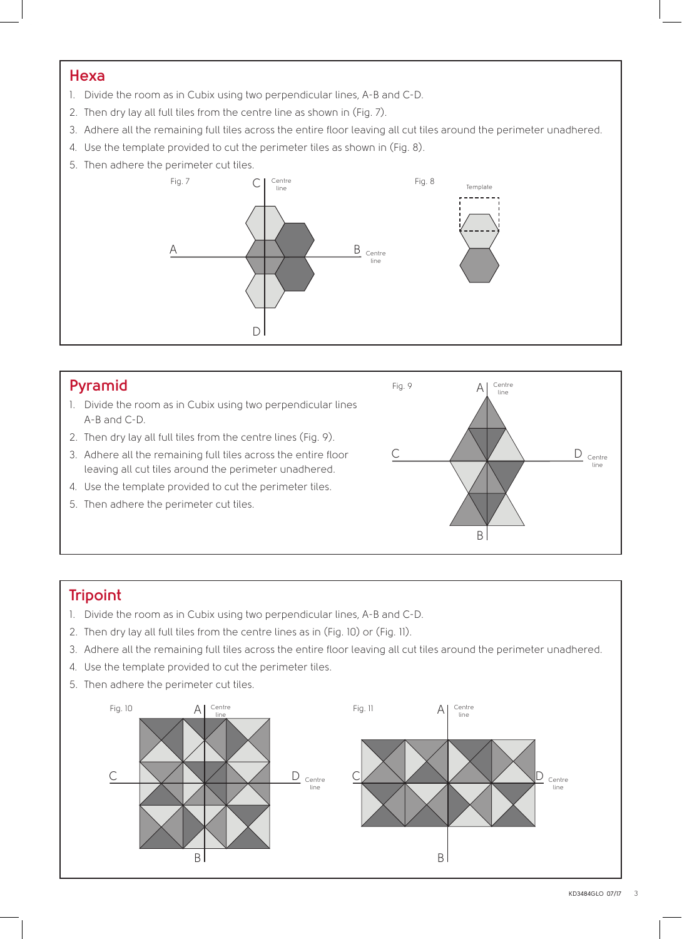#### **Hexa**

- 1. Divide the room as in Cubix using two perpendicular lines, A-B and C-D.
- 2. Then dry lay all full tiles from the centre line as shown in (Fig. 7).
- 3. Adhere all the remaining full tiles across the entire floor leaving all cut tiles around the perimeter unadhered.
- 4. Use the template provided to cut the perimeter tiles as shown in (Fig. 8).
- 5. Then adhere the perimeter cut tiles.



#### **Pyramid**

- 1. Divide the room as in Cubix using two perpendicular lines A-B and C-D.
- 2. Then dry lay all full tiles from the centre lines (Fig. 9).
- 3. Adhere all the remaining full tiles across the entire floor leaving all cut tiles around the perimeter unadhered.
- 4. Use the template provided to cut the perimeter tiles.
- 5. Then adhere the perimeter cut tiles.



# **Tripoint**

- 1. Divide the room as in Cubix using two perpendicular lines, A-B and C-D.
- 2. Then dry lay all full tiles from the centre lines as in (Fig. 10) or (Fig. 11).
- 3. Adhere all the remaining full tiles across the entire floor leaving all cut tiles around the perimeter unadhered.
- 4. Use the template provided to cut the perimeter tiles.
- 5. Then adhere the perimeter cut tiles.